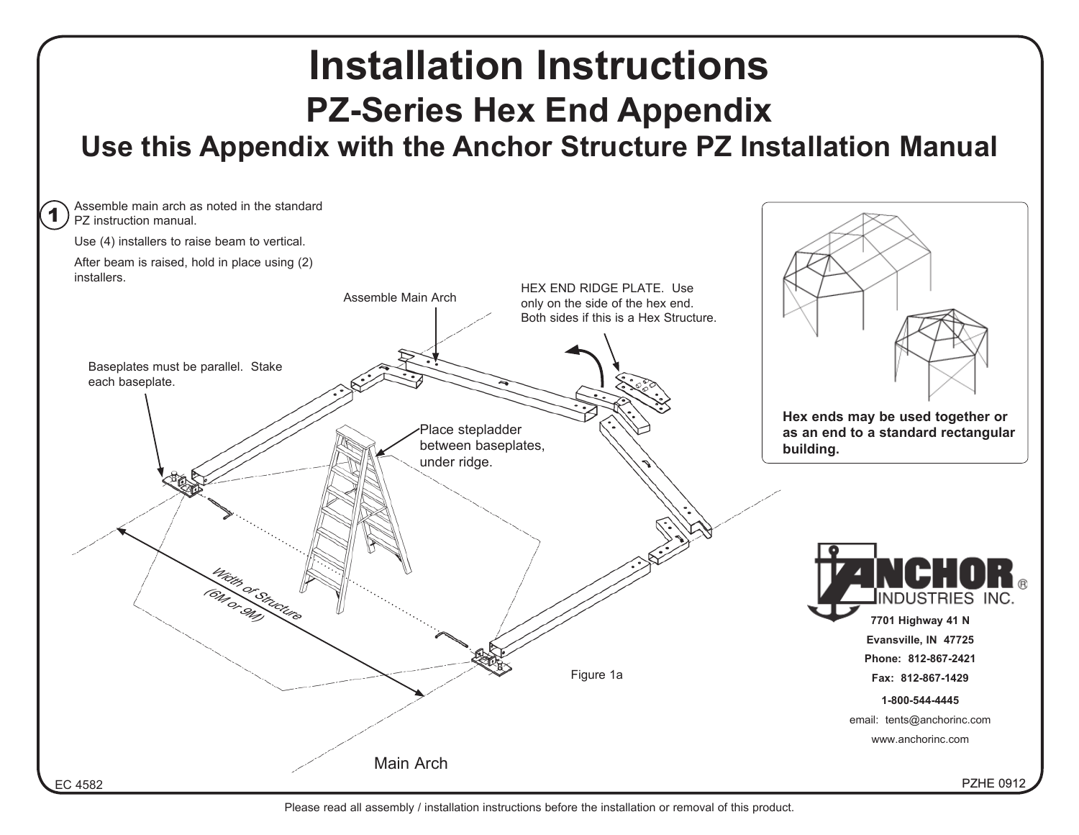

Please read all assembly / installation instructions before the installation or removal of this product.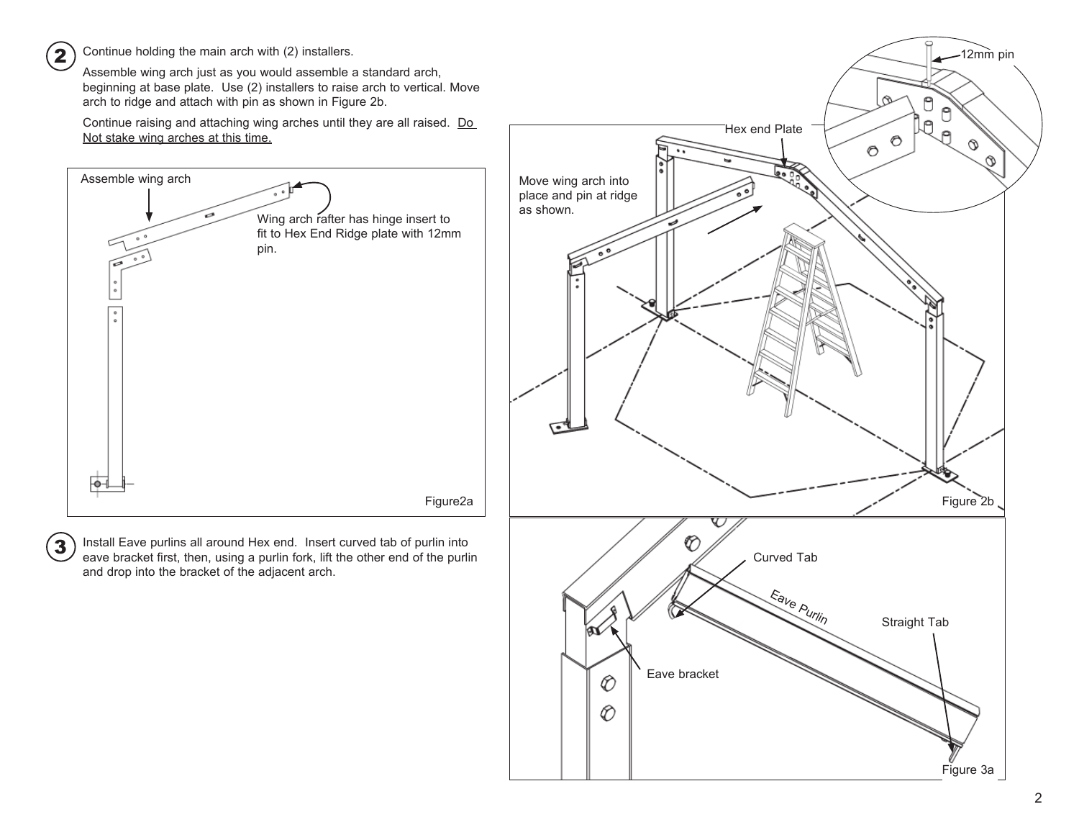Continue holding the main arch with (2) installers.

2

3

Assemble wing arch just as you would assemble a standard arch, beginning at base plate. Use (2) installers to raise arch to vertical. Move arch to ridge and attach with pin as shown in Figure 2b.

Continue raising and attaching wing arches until they are all raised. Do Not stake wing arches at this time.



Install Eave purlins all around Hex end. Insert curved tab of purlin into eave bracket first, then, using a purlin fork, lift the other end of the purlin and drop into the bracket of the adjacent arch.

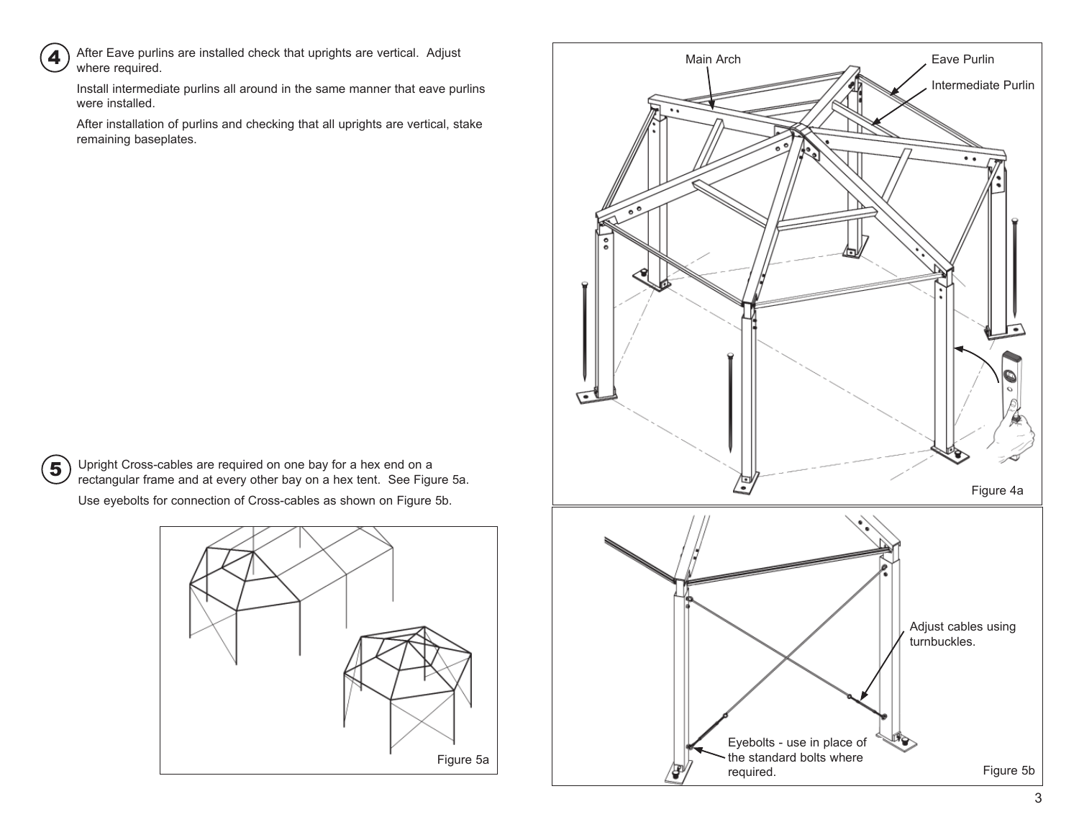

After Eave purlins are installed check that uprights are vertical. Adjust where required.

Install intermediate purlins all around in the same manner that eave purlins were installed.

After installation of purlins and checking that all uprights are vertical, stake remaining baseplates.

5

Upright Cross-cables are required on one bay for a hex end on a rectangular frame and at every other bay on a hex tent. See Figure 5a.

Use eyebolts for connection of Cross-cables as shown on Figure 5b.



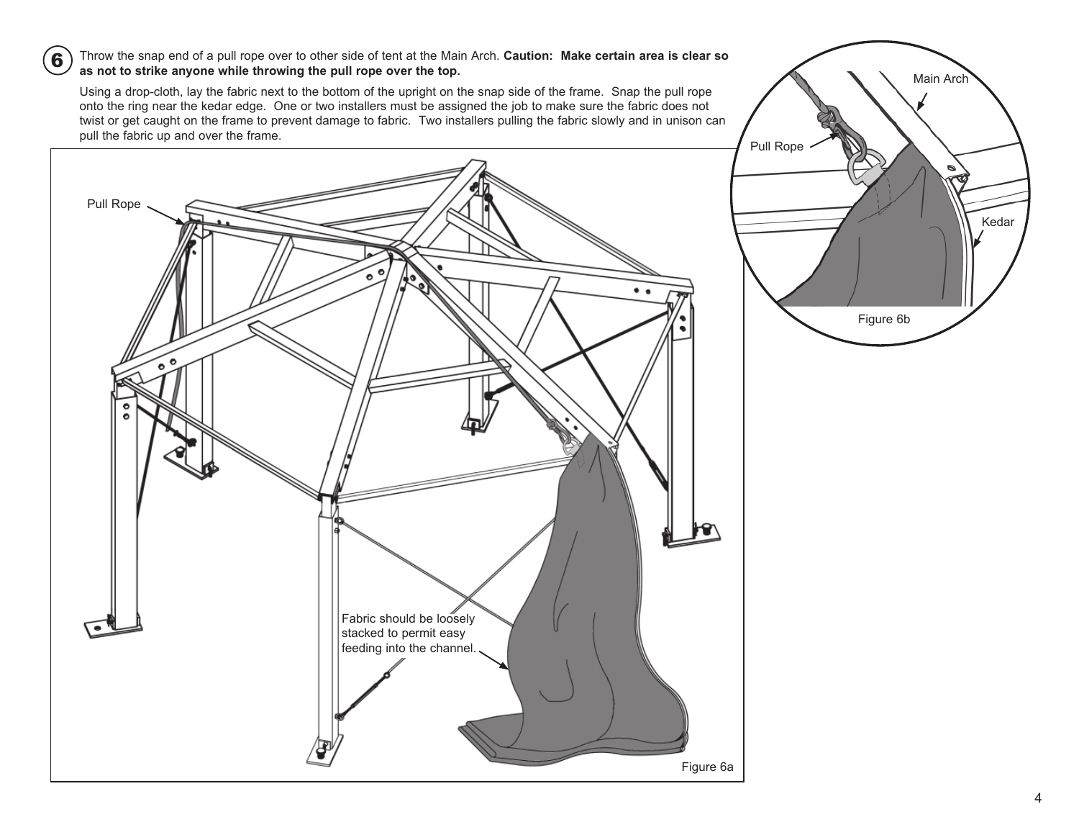## Throw the snap end of a pull rope over to other side of tent at the Main Arch. **Caution: Make certain area is clear so as not to strike anyone while throwing the pull rope over the top.**

6

Using a drop-cloth, lay the fabric next to the bottom of the upright on the snap side of the frame. Snap the pull rope onto the ring near the kedar edge. One or two installers must be assigned the job to make sure the fabric does not twist or get caught on the frame to prevent damage to fabric. Two installers pulling the fabric slowly and in unison can pull the fabric up and over the frame.



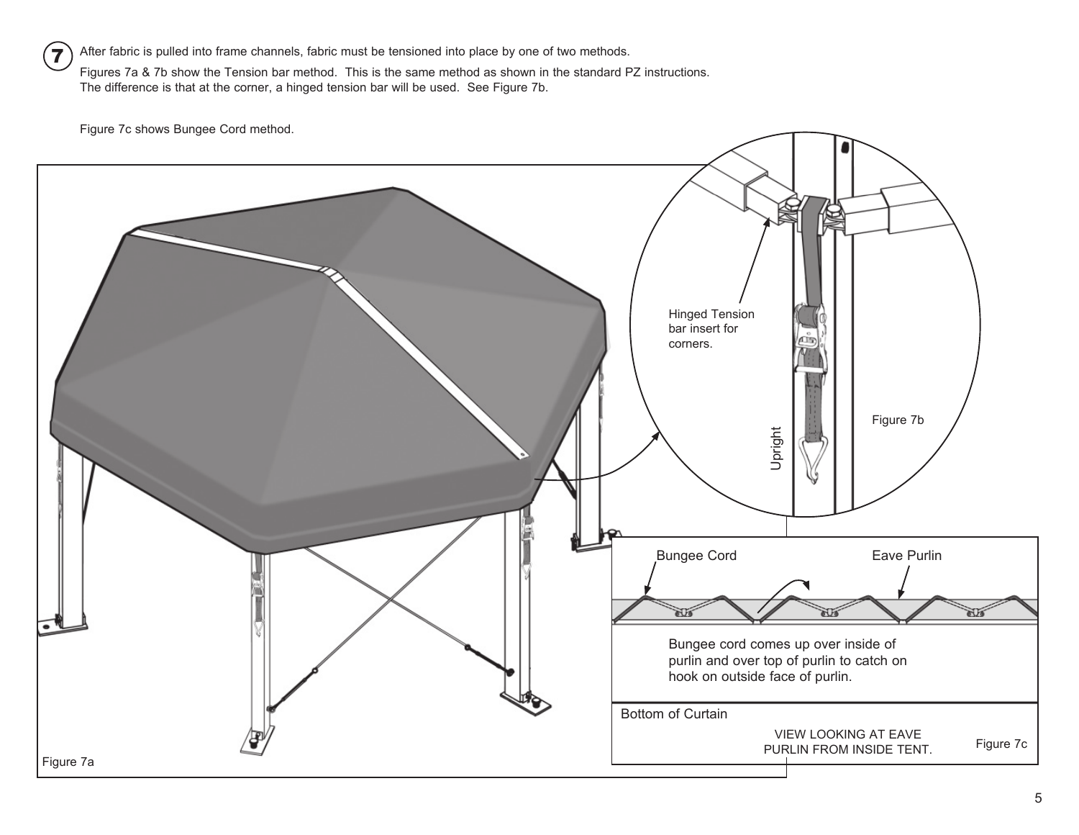After fabric is pulled into frame channels, fabric must be tensioned into place by one of two methods. Figures 7a & 7b show the Tension bar method. This is the same method as shown in the standard PZ instructions. The difference is that at the corner, a hinged tension bar will be used. See Figure 7b. 7

Figure 7c shows Bungee Cord method.